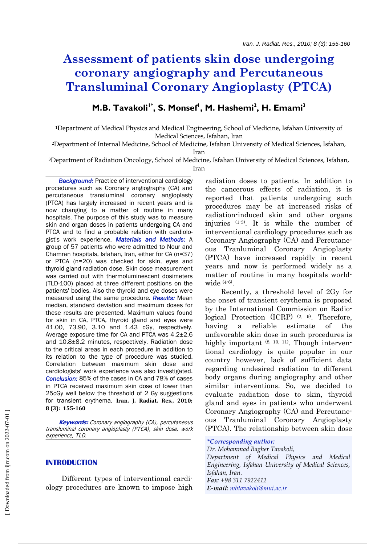# **Assessment of patients skin dose undergoing coronary angiography and Percutaneous Transluminal Coronary Angioplasty (PTCA)**

# **M.B. Tavakoli<sup>1\*</sup>, S. Monsef<sup>1</sup>, M. Hashemi<sup>2</sup>, H. Emami<sup>3</sup>**

1Department of Medical Physics and Medical Engineering, School of Medicine, Isfahan University of Medical Sciences, Isfahan, Iran

2Department of Internal Medicine, School of Medicine, Isfahan University of Medical Sciences, Isfahan,

Iran

3Department of Radiation Oncology, School of Medicine, Isfahan University of Medical Sciences, Isfahan, Iran

 *Background:* Practice of interventional cardiology procedures such as Coronary angiography (CA) and percutaneous transluminal coronary angioplasty (PTCA) has largely increased in recent years and is now changing to a matter of routine in many hospitals. The purpose of this study was to measure skin and organ doses in patients undergoing CA and PTCA and to find a probable relation with cardiologist's work experience. *Materials and Methods:* A group of 57 patients who were admitted to Nour and Chamran hospitals, Isfahan, Iran, either for CA (n=37) or PTCA (n=20) was checked for skin, eyes and thyroid gland radiation dose. Skin dose measurement was carried out with thermoluminescent dosimeters (TLD-100) placed at three different positions on the patients' bodies. Also the thyroid and eye doses were measured using the same procedure. *Results:* Mean median, standard deviation and maximum doses for these results are presented. Maximum values found for skin in CA, PTCA, thyroid gland and eyes were 41.00, 73.90, 3.10 and 1.43 cGy, respectively. Average exposure time for CA and PTCA was 4.2±2.6 and 10.8±8.2 minutes, respectively. Radiation dose to the critical areas in each procedure in addition to its relation to the type of procedure was studied. Correlation between maximum skin dose and cardiologists' work experience was also investigated. *Conclusion:* 85%of the cases in CA and 78% of cases in PTCA received maximum skin dose of lower than 25cGy well below the threshold of 2 Gy suggestions for transient erythema. **Iran. J. Radiat. Res., 2010; 8 (3): 155160**

 **Keywords:** Coronary angiography (CA), percutaneous transluminal coronary angioplasty (PTCA), skin dose, work experience, TLD.

# **INTRODUCTION**

 Different types of interventional cardiology procedures are known to impose high radiation doses to patients. In addition to the cancerous effects of radiation, it is reported that patients undergoing such procedures may be at increased risks of radiation-induced skin and other organs injuries (1-3). It is while the number of interventional cardiology procedures such as Coronary Angiography (CA) and Percutaneous Tranluminal Coronary Angioplasty (PTCA) have increased rapidly in recent years and now is performed widely as a matter of routine in many hospitals worldwide  $(4-6)$ .

 Recently, a threshold level of 2Gy for the onset of transient erythema is proposed by the International Commission on Radiological Protection  $(ICRP)^{(2, 9)}$ . Therefore, having a reliable estimate of the unfavorable skin dose in such procedures is highly important  $(8, 10, 11)$ . Though interventional cardiology is quite popular in our country however, lack of sufficient data regarding undesired radiation to different body organs during angiography and other similar interventions. So, we decided to evaluate radiation dose to skin, thyroid gland and eyes in patients who underwent Coronary Angiography (CA) and Percutaneous Tranluminal Coronary Angioplasty (PTCA). The relationship between skin dose

#### *\*Corresponding author:*

*Dr. Mohammad Bagher Tavakoli, Department of Medical Physics and Medical Engineering, Isfahan University of Medical Sciences, Isfahan, Iran. Fax: +98 311 7922412 E-mail: mbtavakoli@mui.ac.ir*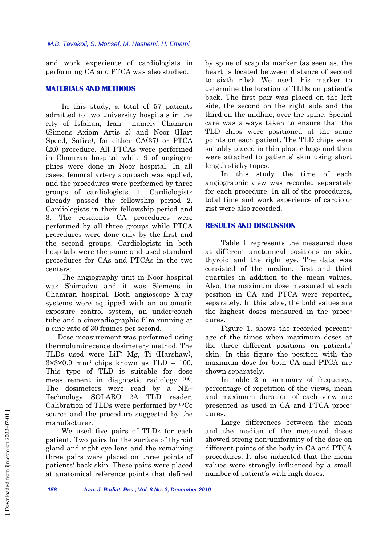and work experience of cardiologists in performing CA and PTCA was also studied.

## **MATERIALS AND METHODS**

 In this study, a total of 57 patients admitted to two university hospitals in the city of Isfahan, Iran namely Chamran (Simens Axiom Artis z) and Noor (Hart Speed, Safire), for either CA(37) or PTCA (20) procedure. All PTCAs were performed in Chamran hospital while 9 of angiographies were done in Noor hospital. In all cases, femoral artery approach was applied, and the procedures were performed by three groups of cardiologists. 1. Cardiologists already passed the fellowship period 2. Cardiologists in their fellowship period and 3. The residents CA procedures were performed by all three groups while PTCA procedures were done only by the first and the second groups. Cardiologists in both hospitals were the same and used standard procedures for CAs and PTCAs in the two centers.

 The angiography unit in Noor hospital was Shimadzu and it was Siemens in Chamran hospital. Both angioscope X-ray systems were equipped with an automatic exposure control system, an under-couch tube and a cineradiographic film running at a cine rate of 30 frames per second.

 Dose measurement was performed using thermoluminecence dosimetery method. The TLDs used were LiF: Mg, Ti (Harshaw),  $3\times3\times0.9$  mm<sup>3</sup> chips known as TLD – 100. This type of TLD is suitable for dose measurement in diagnostic radiology (14). The dosimeters were read by a NE– Technology SOLARO 2A TLD reader. Calibration of TLDs were performed by 60Co source and the procedure suggested by the manufacturer.

 We used five pairs of TLDs for each patient. Two pairs for the surface of thyroid gland and right eye lens and the remaining three pairs were placed on three points of patients' back skin. These pairs were placed at anatomical reference points that defined by spine of scapula marker (as seen as, the heart is located between distance of second to sixth ribs). We used this marker to determine the location of TLDs on patient's back. The first pair was placed on the left side, the second on the right side and the third on the midline, over the spine. Special care was always taken to ensure that the TLD chips were positioned at the same points on each patient. The TLD chips were suitably placed in thin plastic bags and then were attached to patients' skin using short length sticky tapes.

 In this study the time of each angiographic view was recorded separately for each procedure. In all of the procedures, total time and work experience of cardiologist were also recorded.

# **RESULTS AND DISCUSSION**

 Table 1 represents the measured dose at different anatomical positions on skin, thyroid and the right eye. The data was consisted of the median, first and third quartiles in addition to the mean values. Also, the maximum dose measured at each position in CA and PTCA were reported, separately. In this table, the bold values are the highest doses measured in the procedures.

 Figure 1, shows the recorded percentage of the times when maximum doses at the three different positions on patients' skin. In this figure the position with the maximum dose for both CA and PTCA are shown separately.

 In table 2 a summary of frequency, percentage of repetition of the views, mean and maximum duration of each view are presented as used in CA and PTCA procedures.

 Large differences between the mean and the median of the measured doses showed strong non-uniformity of the dose on different points of the body in CA and PTCA procedures. It also indicated that the mean values were strongly influenced by a small number of patient's with high doses.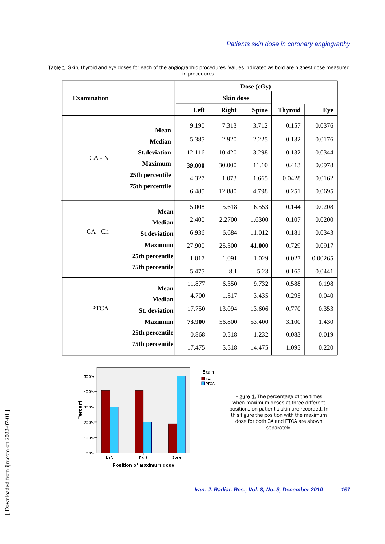## *Patients skin dose in coronary angiography*

| <b>Examination</b> |                      | Dose (cGy) |                  |              |                |         |  |  |
|--------------------|----------------------|------------|------------------|--------------|----------------|---------|--|--|
|                    |                      |            | <b>Skin dose</b> |              |                |         |  |  |
|                    |                      | Left       | <b>Right</b>     | <b>Spine</b> | <b>Thyroid</b> | Eye     |  |  |
|                    | Mean                 | 9.190      | 7.313            | 3.712        | 0.157          | 0.0376  |  |  |
| $CA - N$           | <b>Median</b>        | 5.385      | 2.920            | 2.225        | 0.132          | 0.0176  |  |  |
|                    | <b>St.deviation</b>  | 12.116     | 10.420           | 3.298        | 0.132          | 0.0344  |  |  |
|                    | <b>Maximum</b>       | 39.000     | 30.000           | 11.10        | 0.413          | 0.0978  |  |  |
|                    | 25th percentile      | 4.327      | 1.073            | 1.665        | 0.0428         | 0.0162  |  |  |
|                    | 75th percentile      | 6.485      | 12.880           | 4.798        | 0.251          | 0.0695  |  |  |
| $CA - Ch$          | <b>Mean</b>          | 5.008      | 5.618            | 6.553        | 0.144          | 0.0208  |  |  |
|                    | <b>Median</b>        | 2.400      | 2.2700           | 1.6300       | 0.107          | 0.0200  |  |  |
|                    | <b>St.deviation</b>  | 6.936      | 6.684            | 11.012       | 0.181          | 0.0343  |  |  |
|                    | <b>Maximum</b>       | 27.900     | 25.300           | 41.000       | 0.729          | 0.0917  |  |  |
|                    | 25th percentile      | 1.017      | 1.091            | 1.029        | 0.027          | 0.00265 |  |  |
|                    | 75th percentile      | 5.475      | 8.1              | 5.23         | 0.165          | 0.0441  |  |  |
| <b>PTCA</b>        | <b>Mean</b>          | 11.877     | 6.350            | 9.732        | 0.588          | 0.198   |  |  |
|                    | <b>Median</b>        | 4.700      | 1.517            | 3.435        | 0.295          | 0.040   |  |  |
|                    | <b>St.</b> deviation | 17.750     | 13.094           | 13.606       | 0.770          | 0.353   |  |  |
|                    | <b>Maximum</b>       | 73.900     | 56.800           | 53.400       | 3.100          | 1.430   |  |  |
|                    | 25th percentile      | 0.868      | 0.518            | 1.232        | 0.083          | 0.019   |  |  |
|                    | 75th percentile      | 17.475     | 5.518            | 14.475       | 1.095          | 0.220   |  |  |

Table 1. Skin, thyroid and eye doses for each of the angiographic procedures. Values indicated as bold are highest dose measured in procedures.



Exam LCA<br>DPTCA

> Figure 1. The percentage of the times when maximum doses at three different positions on patient's skin are recorded. In this figure the position with the maximum dose for both CA and PTCA are shown separately.

[Downloaded from ijrr.com on 2022-07-01]  [\[ Downloaded from ijrr.com on 2022-07-0](https://ijrr.com/article-1-646-en.html)1 ]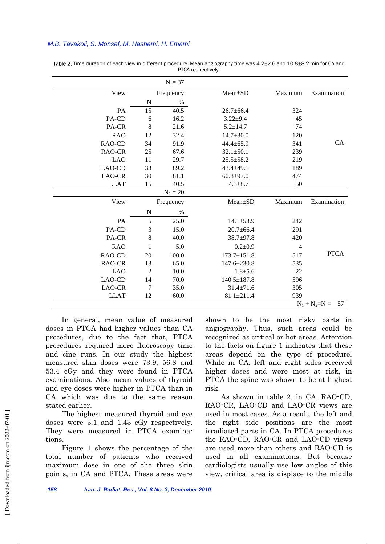#### *M.B. Tavakoli, S. Monsef, M. Hashemi, H. Emami*

|                         |                | $N_1 = 37$ |                   |                |             |  |
|-------------------------|----------------|------------|-------------------|----------------|-------------|--|
| View                    |                | Frequency  | $Mean \pm SD$     | Maximum        | Examination |  |
|                         | N              | $\%$       |                   |                |             |  |
| PA                      | 15             | 40.5       | $26.7 \pm 66.4$   | 324            |             |  |
| PA-CD                   | 6              | 16.2       | $3.22 \pm 9.4$    | 45             |             |  |
| PA-CR                   | 8              | 21.6       | $5.2 \pm 14.7$    | 74             |             |  |
| <b>RAO</b>              | 12             | 32.4       | $14.7 \pm 30.0$   | 120            |             |  |
| RAO-CD                  | 34             | 91.9       | $44.4 \pm 65.9$   | 341            | <b>CA</b>   |  |
| RAO-CR                  | 25             | 67.6       | $32.1 \pm 50.1$   | 239            |             |  |
| <b>LAO</b>              | 11             | 29.7       | $25.5 \pm 58.2$   | 219            |             |  |
| LAO-CD                  | 33             | 89.2       | $43.4 \pm 49.1$   | 189            |             |  |
| LAO-CR                  | 30             | 81.1       | $60.8 + 97.0$     | 474            |             |  |
| <b>LLAT</b>             | 15             | 40.5       | $4.3 + 8.7$       | 50             |             |  |
|                         |                | $N_2 = 20$ |                   |                |             |  |
| View                    |                | Frequency  | Mean±SD           | Maximum        | Examination |  |
|                         | N              | $\%$       |                   |                |             |  |
| PA                      | 5              | 25.0       | $14.1 \pm 53.9$   | 242            |             |  |
| PA-CD                   | 3              | 15.0       | $20.7 \pm 66.4$   | 291            |             |  |
| PA-CR                   | 8              | 40.0       | 38.7±97.8         | 420            |             |  |
| <b>RAO</b>              | 1              | 5.0        | $0.2 + 0.9$       | $\overline{4}$ |             |  |
| RAO-CD                  | 20             | 100.0      | $173.7 \pm 151.8$ | 517            | <b>PTCA</b> |  |
| RAO-CR                  | 13             | 65.0       | 147.6±230.8       | 535            |             |  |
| <b>LAO</b>              | $\overline{2}$ | 10.0       | $1.8 + 5.6$       | 22             |             |  |
| LAO-CD                  | 14             | 70.0       | $140.5 \pm 187.8$ | 596            |             |  |
| LAO-CR                  | 7              | 35.0       | $31.4 \pm 71.6$   | 305            |             |  |
| <b>LLAT</b>             | 12             | 60.0       | $81.1 \pm 211.4$  | 939            |             |  |
| 57<br>$N_1 + N_2 = N =$ |                |            |                   |                |             |  |

Table 2. Time duration of each view in different procedure. Mean angiography time was 4.2±2.6 and 10.8±8.2 min for CA and PTCA respectively.

 In general, mean value of measured doses in PTCA had higher values than CA procedures, due to the fact that, PTCA procedures required more fluoroscopy time and cine runs. In our study the highest measured skin doses were 73.9, 56.8 and 53.4 cGy and they were found in PTCA examinations. Also mean values of thyroid and eye doses were higher in PTCA than in CA which was due to the same reason stated earlier.

 The highest measured thyroid and eye doses were 3.1 and 1.43 cGy respectively. They were measured in PTCA examinations.

 Figure 1 shows the percentage of the total number of patients who received maximum dose in one of the three skin points, in CA and PTCA. These areas were

shown to be the most risky parts in angiography. Thus, such areas could be recognized as critical or hot areas. Attention to the facts on figure 1 indicates that these areas depend on the type of procedure. While in CA, left and right sides received higher doses and were most at risk, in PTCA the spine was shown to be at highest risk.

 As shown in table 2, in CA, RAO-CD, RAO-CR, LAO-CD and LAO-CR views are used in most cases. As a result, the left and the right side positions are the most irradiated parts in CA. In PTCA procedures the RAO-CD, RAO-CR and LAO-CD views are used more than others and RAO-CD is used in all examinations. But because cardiologists usually use low angles of this view, critical area is displace to the middle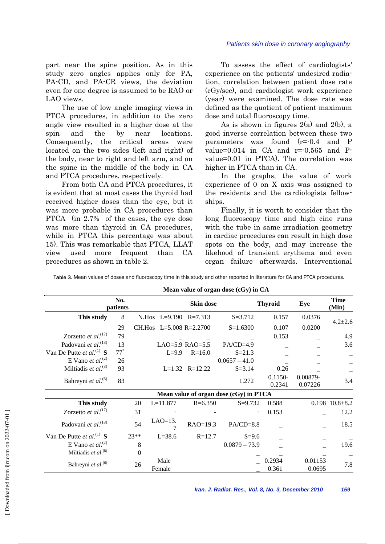#### *Patients skin dose in coronary angiography*

part near the spine position. As in this study zero angles applies only for PA, PA-CD, and PA-CR views, the deviation even for one degree is assumed to be RAO or LAO views.

 The use of low angle imaging views in PTCA procedures, in addition to the zero angle view resulted in a higher dose at the spin and the by near locations. Consequently, the critical areas were located on the two sides (left and right) of the body, near to right and left arm, and on the spine in the middle of the body in CA and PTCA procedures, respectively.

 From both CA and PTCA procedures, it is evident that at most cases the thyroid had received higher doses than the eye, but it was more probable in CA procedures than PTCA (in 2.7% of the cases, the eye dose was more than thyroid in CA procedures, while in PTCA this percentage was about 15). This was remarkable that PTCA, LLAT view used more frequent than CA procedures as shown in table 2.

 To assess the effect of cardiologists' experience on the patients' undesired radiation, correlation between patient dose rate (cGy/sec), and cardiologist work experience (year) were examined. The dose rate was defined as the quotient of patient maximum dose and total fluoroscopy time.

As is shown in figures  $2(a)$  and  $2(b)$ , a good inverse correlation between these two parameters was found  $(r=0.4$  and P value= $0.014$  in CA and  $r=0.565$  and Pvalue=0.01 in PTCA). The correlation was higher in PTCA than in CA.

 In the graphs, the value of work experience of 0 on X axis was assigned to the residents and the cardiologists fellowships.

 Finally, it is worth to consider that the long fluoroscopy time and high cine runs with the tube in same irradiation geometry in cardiac procedures can result in high dose spots on the body, and may increase the likehood of transient erythema and even organ failure afterwards. Interventional

|                                      |                   |          |                       |                         | Mean value of organ dose (CGy) in CA   |                      |                     |                        |
|--------------------------------------|-------------------|----------|-----------------------|-------------------------|----------------------------------------|----------------------|---------------------|------------------------|
| No.<br>patients                      |                   |          | Skin dose             |                         |                                        | <b>Thyroid</b>       | Eye                 | <b>Time</b><br>(Min)   |
| This study                           | 8                 |          | N.Hos L=9.190 R=7.313 |                         | $S = 3.712$                            | 0.157                | 0.0376              | $4.2 \pm 2.6$          |
|                                      | 29                |          |                       | CH.Hos L=5.008 R=2.2700 | $S=1.6300$                             | 0.107                | 0.0200              |                        |
| Zorzetto et $al.^{(17)}$             | 79                |          |                       |                         |                                        | 0.153                |                     | 4.9                    |
| Padovani et al. <sup>(18)</sup>      | 13                |          |                       | LAO=5.9 RAO=5.5         | $PA/CD=4.9$                            |                      |                     | 3.6                    |
| Van De Putte et al. <sup>(1)</sup> S | $77$ <sup>*</sup> |          | $L=9.9$               | $R = 16.0$              | $S = 21.3$                             |                      |                     |                        |
| E Vano et al. <sup>(2)</sup>         | 26                |          |                       |                         | $0.0657 - 41.0$                        |                      |                     |                        |
| Miltiadis et al. $(8)$               | 93                |          |                       | $L=1.32$ $R=12.22$      | $S = 3.14$                             | 0.26                 |                     |                        |
| Bahreyni et al. <sup>(6)</sup>       | 83                |          |                       |                         | 1.272                                  | $0.1150 -$<br>0.2341 | 0.00879-<br>0.07226 | 3.4                    |
|                                      |                   |          |                       |                         | Mean value of organ dose (cGy) in PTCA |                      |                     |                        |
| This study                           |                   | 20       | $L = 11.877$          | $R = 6.350$             | $S = 9.732$                            | 0.588                |                     | $0.198$ $10.8 \pm 8.2$ |
| Zorzetto et al. $^{(17)}$            |                   | 31       |                       |                         |                                        | 0.153                |                     | 12.2                   |
| Padovani et al. <sup>(18)</sup>      |                   | 54       | $LAO=13$ .            | $RAO=19.3$              | $PA/CD=8.8$                            |                      |                     | 18.5                   |
| Van De Putte et al. <sup>(1)</sup> S |                   | $23**$   | $L = 38.6$            | $R = 12.7$              | $S = 9.6$                              |                      |                     |                        |
| E Vano et al. <sup>(2)</sup>         |                   | 8        |                       |                         | $0.0879 - 73.9$                        |                      |                     | 19.6                   |
| Miltiadis et $al.^{(8)}$             |                   | $\Omega$ |                       |                         |                                        |                      |                     |                        |
| Bahreyni et al. <sup>(6)</sup>       | 26                |          | Male                  |                         |                                        | 0.2934               | 0.01153             | 7.8                    |
|                                      |                   |          | Female                |                         |                                        | 0.361                | 0.0695              |                        |

Table 3. Mean values of doses and fluoroscopy time in this study and other reported in literature for CA and PTCA procedures.

**Mean value of organ dose (cGy) in CA**